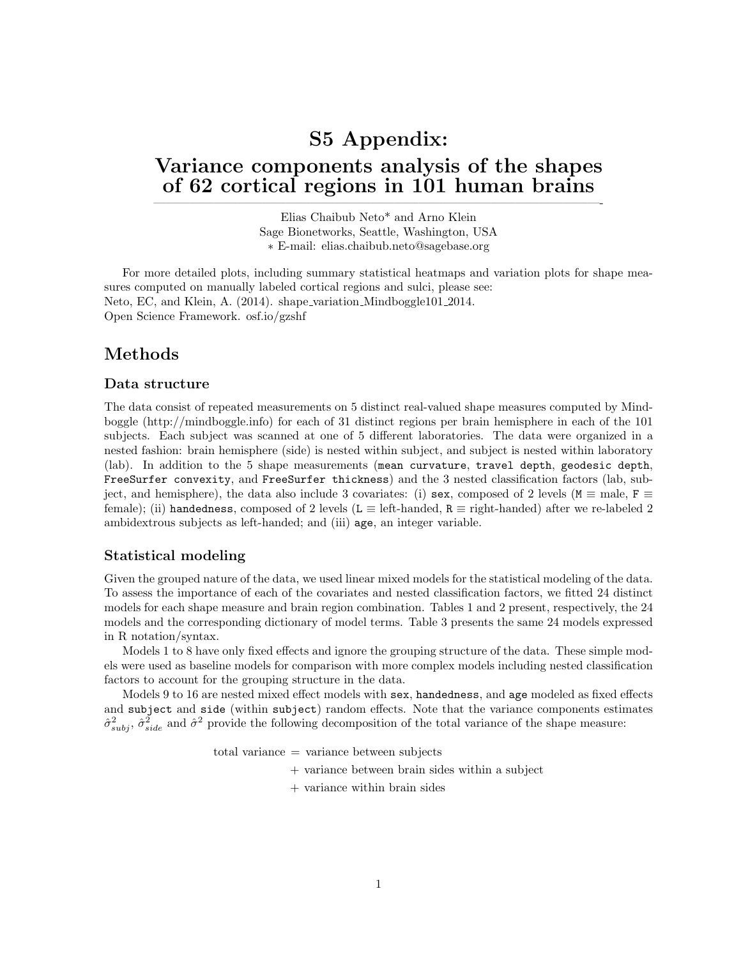# S5 Appendix: Variance components analysis of the shapes of 62 cortical regions in 101 human brains

Elias Chaibub Neto\* and Arno Klein Sage Bionetworks, Seattle, Washington, USA ∗ E-mail: elias.chaibub.neto@sagebase.org

—————————————————————————————————————-

For more detailed plots, including summary statistical heatmaps and variation plots for shape measures computed on manually labeled cortical regions and sulci, please see: Neto, EC, and Klein, A. (2014). shape variation Mindboggle101 2014. Open Science Framework. osf.io/gzshf

### Methods

#### Data structure

The data consist of repeated measurements on 5 distinct real-valued shape measures computed by Mindboggle (http://mindboggle.info) for each of 31 distinct regions per brain hemisphere in each of the 101 subjects. Each subject was scanned at one of 5 different laboratories. The data were organized in a nested fashion: brain hemisphere (side) is nested within subject, and subject is nested within laboratory (lab). In addition to the 5 shape measurements (mean curvature, travel depth, geodesic depth, FreeSurfer convexity, and FreeSurfer thickness) and the 3 nested classification factors (lab, subject, and hemisphere), the data also include 3 covariates: (i) sex, composed of 2 levels ( $M \equiv$  male,  $F \equiv$ female); (ii) handedness, composed of 2 levels (L  $\equiv$  left-handed, R  $\equiv$  right-handed) after we re-labeled 2 ambidextrous subjects as left-handed; and (iii) age, an integer variable.

#### Statistical modeling

Given the grouped nature of the data, we used linear mixed models for the statistical modeling of the data. To assess the importance of each of the covariates and nested classification factors, we fitted 24 distinct models for each shape measure and brain region combination. Tables 1 and 2 present, respectively, the 24 models and the corresponding dictionary of model terms. Table 3 presents the same 24 models expressed in R notation/syntax.

Models 1 to 8 have only fixed effects and ignore the grouping structure of the data. These simple models were used as baseline models for comparison with more complex models including nested classification factors to account for the grouping structure in the data.

Models 9 to 16 are nested mixed effect models with sex, handedness, and age modeled as fixed effects and subject and side (within subject) random effects. Note that the variance components estimates  $\hat{\sigma}_{subj}^2$ ,  $\hat{\sigma}_{side}^2$  and  $\hat{\sigma}^2$  provide the following decomposition of the total variance of the shape measure:

 $total variance = variance between subjects$ 

- + variance between brain sides within a subject
- + variance within brain sides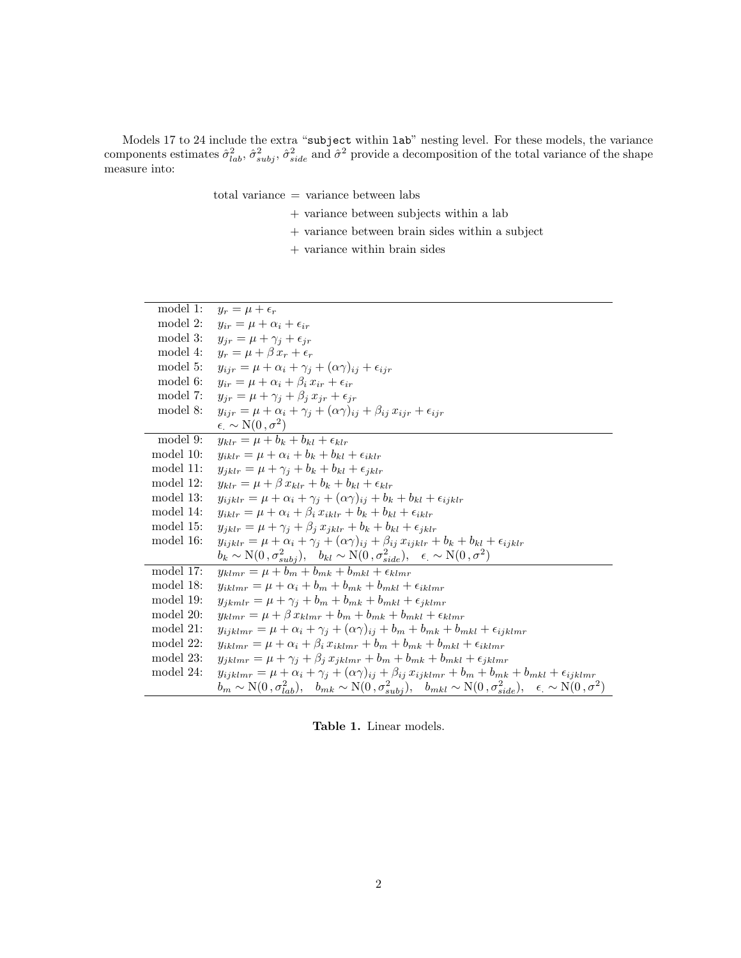Models 17 to 24 include the extra "subject within lab" nesting level. For these models, the variance components estimates  $\hat{\sigma}_{lab}^2$ ,  $\hat{\sigma}_{subj}^2$ ,  $\hat{\sigma}_{side}^2$  and  $\hat{\sigma}^2$  provide a decomposition of the total variance of the shape measure into:

total variance = variance between labs

- + variance between subjects within a lab
- $+$  variance between brain sides within a subject
- $+$  variance within brain sides  $\,$

| model 1:     | $y_r = \mu + \epsilon_r$                                                                                                                                                           |
|--------------|------------------------------------------------------------------------------------------------------------------------------------------------------------------------------------|
| model 2:     | $y_{ir} = \mu + \alpha_i + \epsilon_{ir}$                                                                                                                                          |
| model 3:     | $y_{ir} = \mu + \gamma_i + \epsilon_{ir}$                                                                                                                                          |
| model 4:     | $y_r = \mu + \beta x_r + \epsilon_r$                                                                                                                                               |
| model 5:     | $y_{ijr} = \mu + \alpha_i + \gamma_j + (\alpha \gamma)_{ij} + \epsilon_{ijr}$                                                                                                      |
| model 6:     | $y_{ir} = \mu + \alpha_i + \beta_i x_{ir} + \epsilon_{ir}$                                                                                                                         |
| model 7:     | $y_{ir} = \mu + \gamma_i + \beta_i x_{ir} + \epsilon_{ir}$                                                                                                                         |
| model 8:     | $y_{ijr} = \mu + \alpha_i + \gamma_i + (\alpha \gamma)_{ii} + \beta_{ii} x_{ijr} + \epsilon_{ijr}$                                                                                 |
|              | $\epsilon \sim N(0, \sigma^2)$                                                                                                                                                     |
| model 9:     | $u_{klr} = \mu + b_k + b_{kl} + \epsilon_{klr}$                                                                                                                                    |
| model 10:    | $y_{iklr} = \mu + \alpha_i + b_k + b_{kl} + \epsilon_{iklr}$                                                                                                                       |
| model 11:    | $y_{iklr} = \mu + \gamma_i + b_k + b_{kl} + \epsilon_{iklr}$                                                                                                                       |
| model 12:    | $u_{klr} = \mu + \beta x_{klr} + b_k + b_{kl} + \epsilon_{klr}$                                                                                                                    |
| model 13:    | $y_{i\,ikl\,r} = \mu + \alpha_i + \gamma_i + (\alpha \gamma)_{ii} + b_k + b_{kl} + \epsilon_{i\,ikl\,r}$                                                                           |
| model 14:    | $y_{iklr} = \mu + \alpha_i + \beta_i x_{iklr} + b_k + b_{kl} + \epsilon_{iklr}$                                                                                                    |
| model 15:    | $y_{iklr} = \mu + \gamma_i + \beta_i x_{iklr} + b_k + b_{kl} + \epsilon_{iklr}$                                                                                                    |
| model 16:    | $y_{ijklr} = \mu + \alpha_i + \gamma_j + (\alpha \gamma)_{ij} + \beta_{ij} x_{ijklr} + b_k + b_{kl} + \epsilon_{ijklr}$                                                            |
|              | $b_k \sim \text{N}(0, \sigma_{subj}^2), \quad b_{kl} \sim \text{N}(0, \sigma_{side}^2), \quad \epsilon \sim \text{N}(0, \sigma^2)$                                                 |
| model $17$ : | $y_{klmr} = \mu + b_m + b_{mk} + b_{mkl} + \epsilon_{klmr}$                                                                                                                        |
| model 18:    | $y_{iklmr} = \mu + \alpha_i + b_m + b_{mk} + b_{mkl} + \epsilon_{iklmr}$                                                                                                           |
| model 19:    | $y_{ikmlr} = \mu + \gamma_i + b_m + b_{mk} + b_{mkl} + \epsilon_{iklmr}$                                                                                                           |
| model 20:    | $y_{klmr} = \mu + \beta x_{klmr} + b_m + b_{mk} + b_{mkl} + \epsilon_{klmr}$                                                                                                       |
| model $21$ : | $y_{iiklmr} = \mu + \alpha_i + \gamma_i + (\alpha \gamma)_{ii} + b_m + b_{mk} + b_{mkl} + \epsilon_{iiklmr}$                                                                       |
| model $22$ : | $y_{iklmr} = \mu + \alpha_i + \beta_i x_{iklmr} + b_m + b_{mk} + b_{mkl} + \epsilon_{iklmr}$                                                                                       |
| model 23:    | $y_{jklmr} = \mu + \gamma_j + \beta_j x_{jklmr} + b_m + b_{mk} + b_{mkl} + \epsilon_{jklmr}$                                                                                       |
| model 24:    | $y_{ijklmr} = \mu + \alpha_i + \gamma_j + (\alpha \gamma)_{ij} + \beta_{ij} x_{ijklmr} + b_m + b_{mk} + b_{mkl} + \epsilon_{ijklmr}$                                               |
|              | $b_m \sim \text{N}(0, \sigma_{lab}^2), \quad b_{mk} \sim \text{N}(0, \sigma_{subj}^2), \quad b_{mkl} \sim \text{N}(0, \sigma_{side}^2), \quad \epsilon \sim \text{N}(0, \sigma^2)$ |

Table 1. Linear models.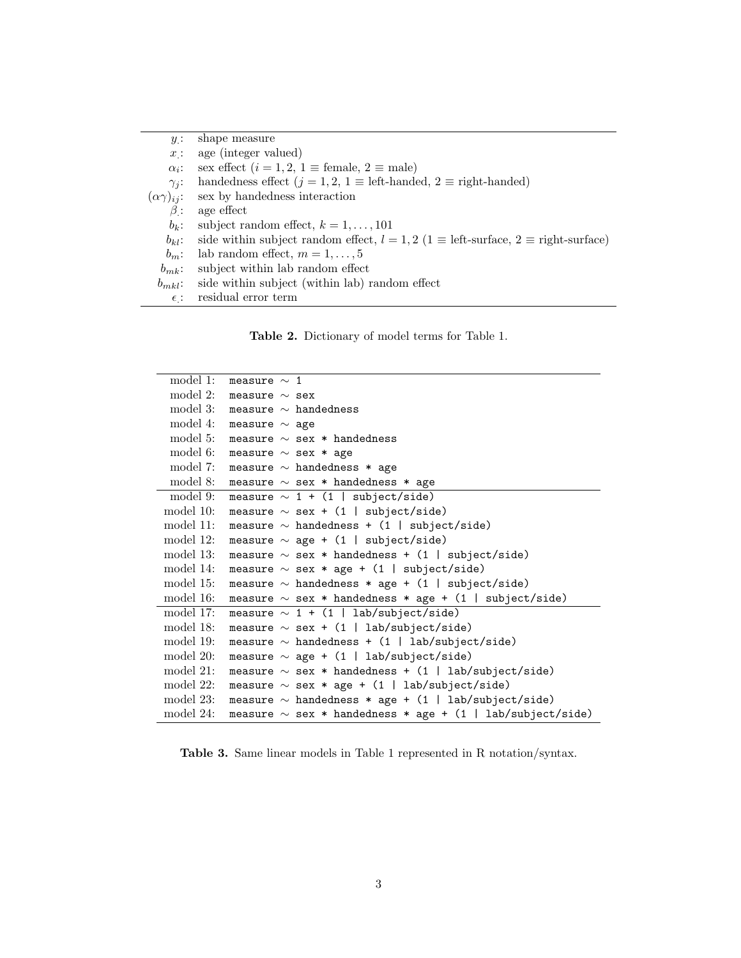| $y$ :        | shape measure                                                                                     |
|--------------|---------------------------------------------------------------------------------------------------|
| x:           | age (integer valued)                                                                              |
| $\alpha_i$ : | sex effect $(i = 1, 2, 1 \equiv \text{female}, 2 \equiv \text{male})$                             |
| $\gamma_i$ : | handedness effect $(j = 1, 2, 1 \equiv$ left-handed, $2 \equiv$ right-handed)                     |
|              | $(\alpha \gamma)_{ij}$ : sex by handedness interaction                                            |
| $\beta$ :    | age effect                                                                                        |
| $b_k$ :      | subject random effect, $k = 1, \ldots, 101$                                                       |
| $b_{kl}$ :   | side within subject random effect, $l = 1, 2$ (1 $\equiv$ left-surface, 2 $\equiv$ right-surface) |
| $b_m$ :      | lab random effect, $m = 1, \ldots, 5$                                                             |
| $b_{mk}$ :   | subject within lab random effect                                                                  |
|              | $b_{mkl}$ : side within subject (within lab) random effect                                        |
| $\epsilon$ : | residual error term                                                                               |

Table 2. Dictionary of model terms for Table 1.

| model 1:    | measure $\sim 1$                                               |
|-------------|----------------------------------------------------------------|
| $\mod 2$ :  | measure $\sim$ sex                                             |
| model 3:    | measure $\sim$ handedness                                      |
| model 4:    | measure $\sim$ age                                             |
| model 5:    | measure $\sim$ sex * handedness                                |
| model 6:    | measure $\sim$ sex * age                                       |
| model 7:    | measure $\sim$ handedness $*$ age                              |
| model 8:    | measure $\sim$ sex * handedness * age                          |
| model 9:    | measure $\sim$ 1 + (1   subject/side)                          |
| model 10:   | measure $\sim$ sex + (1   subject/side)                        |
| model 11:   | measure $\sim$ handedness + (1   subject/side)                 |
| model 12:   | measure $\sim$ age + (1   subject/side)                        |
| model 13:   | measure $\sim$ sex * handedness + (1   subject/side)           |
| model 14:   | measure $\sim$ sex * age + (1   subject/side)                  |
| model 15:   | measure $\sim$ handedness $*$ age + (1   subject/side)         |
| model 16:   | measure $\sim$ sex * handedness * age + (1   subject/side)     |
| model 17:   | measure $\sim 1 + (1 \mid lab/subject/side)$                   |
| model 18:   | measure $\sim$ sex + (1   lab/subject/side)                    |
| model 19:   | measure $\sim$ handedness + (1   lab/subject/side)             |
| $\mod 20$ : | measure $\sim$ age + (1   lab/subject/side)                    |
| $\mod 21$ : | measure $\sim$ sex * handedness + (1   lab/subject/side)       |
| model 22:   | measure $\sim$ sex * age + (1   lab/subject/side)              |
| model 23:   | measure $\sim$ handedness * age + (1   lab/subject/side)       |
| model 24:   | measure $\sim$ sex * handedness * age + (1   lab/subject/side) |
|             |                                                                |

Table 3. Same linear models in Table 1 represented in R notation/syntax.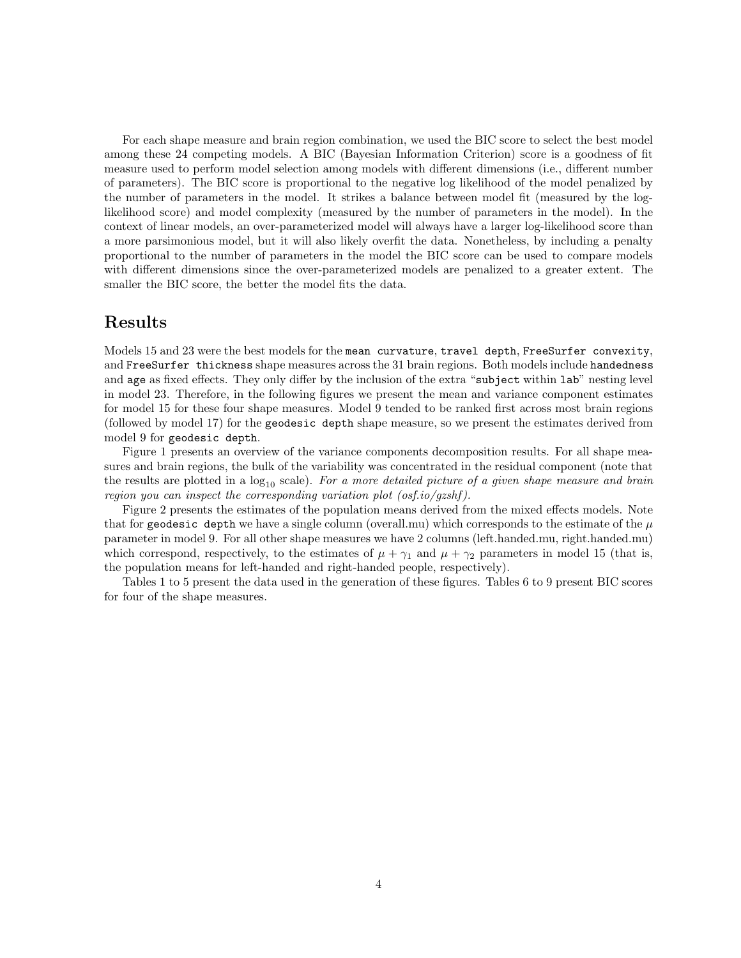For each shape measure and brain region combination, we used the BIC score to select the best model among these 24 competing models. A BIC (Bayesian Information Criterion) score is a goodness of fit measure used to perform model selection among models with different dimensions (i.e., different number of parameters). The BIC score is proportional to the negative log likelihood of the model penalized by the number of parameters in the model. It strikes a balance between model fit (measured by the loglikelihood score) and model complexity (measured by the number of parameters in the model). In the context of linear models, an over-parameterized model will always have a larger log-likelihood score than a more parsimonious model, but it will also likely overfit the data. Nonetheless, by including a penalty proportional to the number of parameters in the model the BIC score can be used to compare models with different dimensions since the over-parameterized models are penalized to a greater extent. The smaller the BIC score, the better the model fits the data.

#### Results

Models 15 and 23 were the best models for the mean curvature, travel depth, FreeSurfer convexity, and FreeSurfer thickness shape measures across the 31 brain regions. Both models include handedness and age as fixed effects. They only differ by the inclusion of the extra "subject within lab" nesting level in model 23. Therefore, in the following figures we present the mean and variance component estimates for model 15 for these four shape measures. Model 9 tended to be ranked first across most brain regions (followed by model 17) for the geodesic depth shape measure, so we present the estimates derived from model 9 for geodesic depth.

Figure 1 presents an overview of the variance components decomposition results. For all shape measures and brain regions, the bulk of the variability was concentrated in the residual component (note that the results are plotted in a  $log_{10}$  scale). For a more detailed picture of a given shape measure and brain region you can inspect the corresponding variation plot  $(osf.io/gzshf)$ .

Figure 2 presents the estimates of the population means derived from the mixed effects models. Note that for geodesic depth we have a single column (overall.mu) which corresponds to the estimate of the  $\mu$ parameter in model 9. For all other shape measures we have 2 columns (left.handed.mu, right.handed.mu) which correspond, respectively, to the estimates of  $\mu + \gamma_1$  and  $\mu + \gamma_2$  parameters in model 15 (that is, the population means for left-handed and right-handed people, respectively).

Tables 1 to 5 present the data used in the generation of these figures. Tables 6 to 9 present BIC scores for four of the shape measures.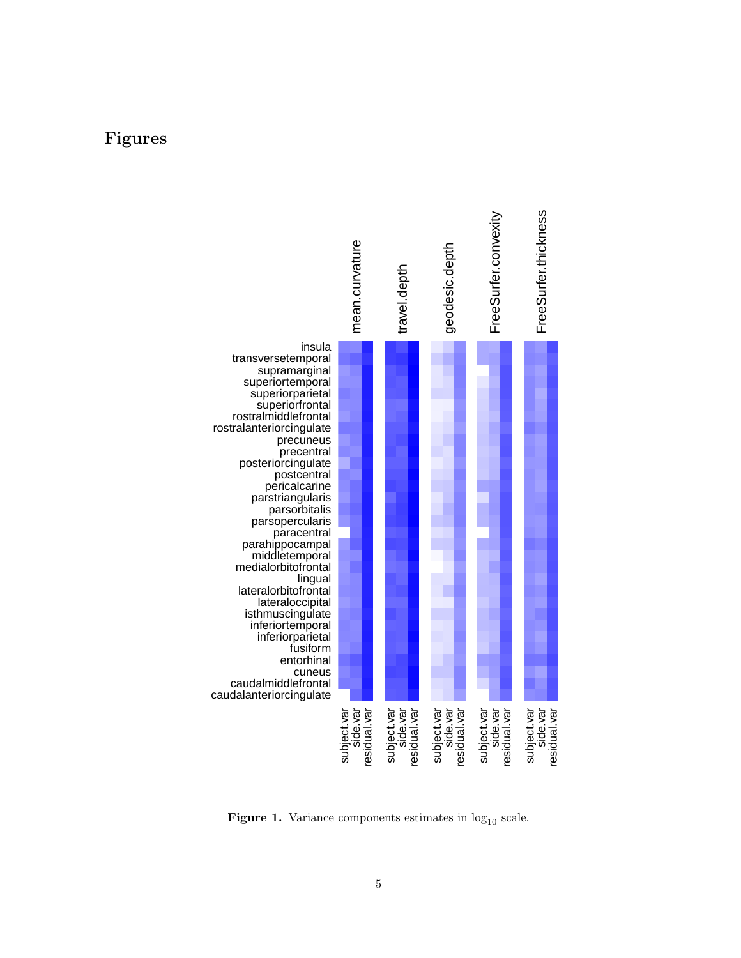### Figures



Figure 1. Variance components estimates in  $log_{10}$  scale.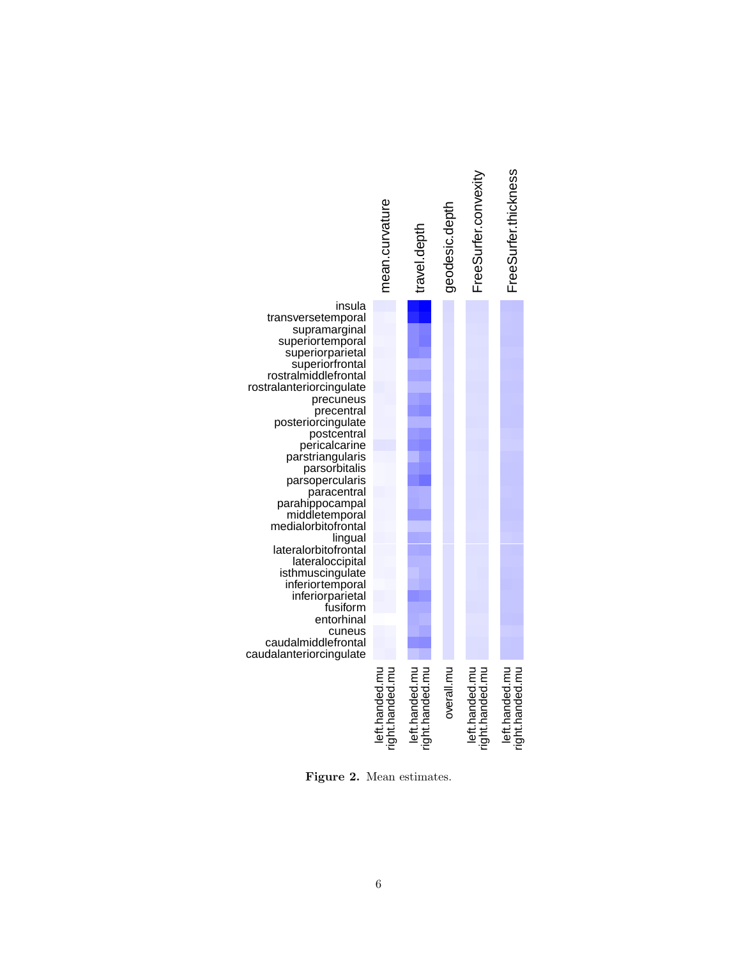

Figure 2. Mean estimates.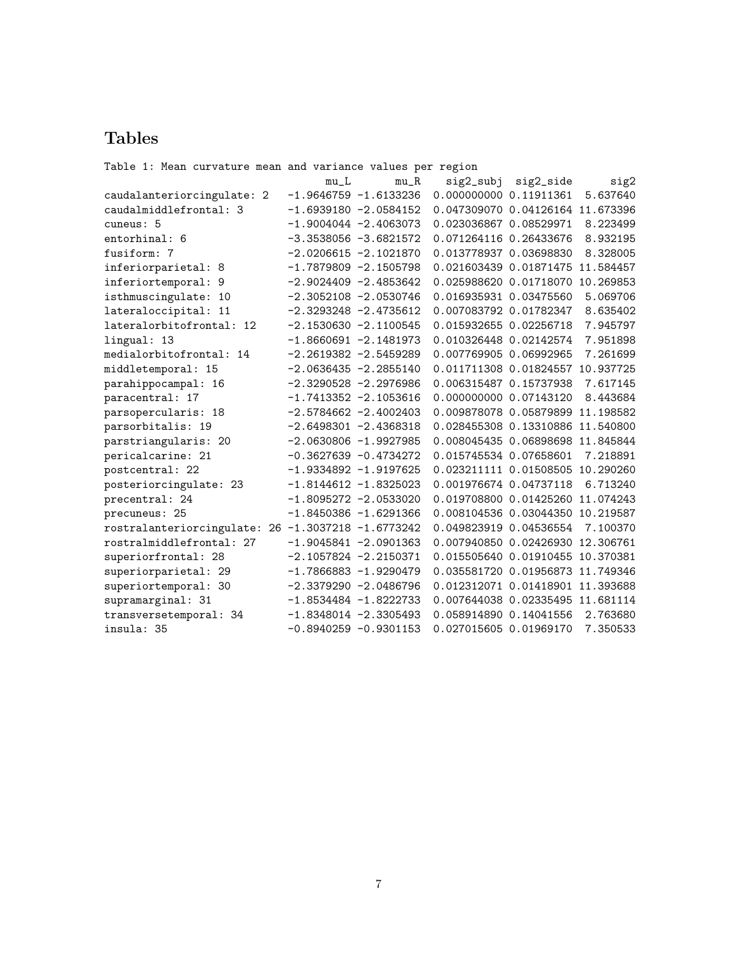# Tables

| Table 1: Mean curvature mean and variance values per region |        |                          |                                  |           |           |
|-------------------------------------------------------------|--------|--------------------------|----------------------------------|-----------|-----------|
|                                                             | $mu_L$ | $mu_R$                   | sig2_subj                        | sig2_side | sig2      |
| caudalanteriorcingulate: 2                                  |        | $-1.9646759 -1.6133236$  | 0.000000000 0.11911361           |           | 5.637640  |
| caudalmiddlefrontal: 3                                      |        | $-1.6939180 -2.0584152$  | 0.047309070 0.04126164 11.673396 |           |           |
| cuneus: 5                                                   |        | $-1.9004044 -2.4063073$  | 0.023036867 0.08529971           |           | 8.223499  |
| entorhinal: 6                                               |        | $-3.3538056 - 3.6821572$ | 0.071264116 0.26433676           |           | 8.932195  |
| fusiform: 7                                                 |        | $-2.0206615 -2.1021870$  | 0.013778937 0.03698830           |           | 8.328005  |
| inferiorparietal: 8                                         |        | $-1.7879809 -2.1505798$  | 0.021603439 0.01871475           |           | 11.584457 |
| inferiortemporal: 9                                         |        | $-2.9024409 -2.4853642$  | 0.025988620 0.01718070 10.269853 |           |           |
| isthmuscingulate: 10                                        |        | $-2.3052108 - 2.0530746$ | 0.016935931 0.03475560           |           | 5.069706  |
| lateraloccipital: 11                                        |        | $-2.3293248 -2.4735612$  | 0.007083792 0.01782347           |           | 8.635402  |
| lateralorbitofrontal: 12                                    |        | $-2.1530630 -2.1100545$  | 0.015932655 0.02256718           |           | 7.945797  |
| lingual: 13                                                 |        | $-1.8660691 -2.1481973$  | 0.010326448 0.02142574           |           | 7.951898  |
| medialorbitofrontal: 14                                     |        | $-2.2619382 -2.5459289$  | 0.007769905 0.06992965           |           | 7.261699  |
| middletemporal: 15                                          |        | $-2.0636435 -2.2855140$  | 0.011711308 0.01824557           |           | 10.937725 |
| parahippocampal: 16                                         |        | $-2.3290528 -2.2976986$  | 0.006315487 0.15737938           |           | 7.617145  |
| paracentral: 17                                             |        | $-1.7413352 -2.1053616$  | 0.000000000 0.07143120           |           | 8.443684  |
| parsopercularis: 18                                         |        | $-2.5784662 -2.4002403$  | 0.009878078 0.05879899           |           | 11.198582 |
| parsorbitalis: 19                                           |        | $-2.6498301 - 2.4368318$ | 0.028455308 0.13310886 11.540800 |           |           |
| parstriangularis: 20                                        |        | $-2.0630806 -1.9927985$  | 0.008045435 0.06898698 11.845844 |           |           |
| pericalcarine: 21                                           |        | $-0.3627639 - 0.4734272$ | 0.015745534 0.07658601           |           | 7.218891  |
| postcentral: 22                                             |        | $-1.9334892 -1.9197625$  | 0.023211111 0.01508505 10.290260 |           |           |
| posteriorcingulate: 23                                      |        | $-1.8144612 -1.8325023$  | 0.001976674 0.04737118           |           | 6.713240  |
| precentral: 24                                              |        | $-1.8095272 -2.0533020$  | 0.019708800 0.01425260 11.074243 |           |           |
| precuneus: 25                                               |        | $-1.8450386 -1.6291366$  | 0.008104536 0.03044350 10.219587 |           |           |
| rostralanteriorcingulate: 26 -1.3037218 -1.6773242          |        |                          | 0.049823919 0.04536554           |           | 7.100370  |
| rostralmiddlefrontal: 27                                    |        | $-1.9045841 -2.0901363$  | 0.007940850 0.02426930 12.306761 |           |           |
| superiorfrontal: 28                                         |        | $-2.1057824 -2.2150371$  | 0.015505640 0.01910455 10.370381 |           |           |
| superiorparietal: 29                                        |        | $-1.7866883 -1.9290479$  | 0.035581720 0.01956873 11.749346 |           |           |
| superiortemporal: 30                                        |        | $-2.3379290 -2.0486796$  | 0.012312071 0.01418901 11.393688 |           |           |
| supramarginal: 31                                           |        | $-1.8534484 -1.8222733$  | 0.007644038 0.02335495 11.681114 |           |           |
| transversetemporal: 34                                      |        | $-1.8348014 -2.3305493$  | 0.058914890 0.14041556           |           | 2.763680  |
| insula: 35                                                  |        | $-0.8940259 - 0.9301153$ | 0.027015605 0.01969170           |           | 7.350533  |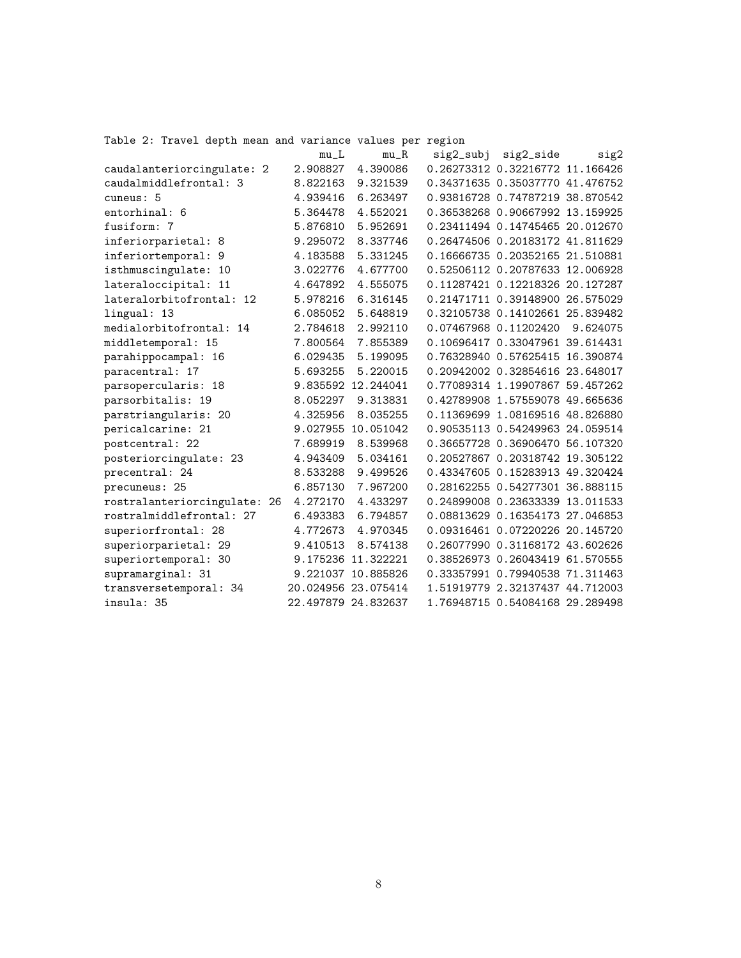Table 2: Travel depth mean and variance values per region

|                              | $mu_L$   | $mu_R$              | sig2_subj | sig2_side                       | sig2     |
|------------------------------|----------|---------------------|-----------|---------------------------------|----------|
| caudalanteriorcingulate: 2   | 2.908827 | 4.390086            |           | 0.26273312 0.32216772 11.166426 |          |
| caudalmiddlefrontal: 3       | 8.822163 | 9.321539            |           | 0.34371635 0.35037770 41.476752 |          |
| cuneus: 5                    | 4.939416 | 6.263497            |           | 0.93816728 0.74787219 38.870542 |          |
| entorhinal: 6                | 5.364478 | 4.552021            |           | 0.36538268 0.90667992 13.159925 |          |
| fusiform: 7                  | 5.876810 | 5.952691            |           | 0.23411494 0.14745465 20.012670 |          |
| inferiorparietal: 8          | 9.295072 | 8.337746            |           | 0.26474506 0.20183172 41.811629 |          |
| inferiortemporal: 9          | 4.183588 | 5.331245            |           | 0.16666735 0.20352165 21.510881 |          |
| isthmuscingulate: 10         | 3.022776 | 4.677700            |           | 0.52506112 0.20787633 12.006928 |          |
| lateraloccipital: 11         | 4.647892 | 4.555075            |           | 0.11287421 0.12218326 20.127287 |          |
| lateralorbitofrontal: 12     | 5.978216 | 6.316145            |           | 0.21471711 0.39148900 26.575029 |          |
| lingual: 13                  | 6.085052 | 5.648819            |           | 0.32105738 0.14102661 25.839482 |          |
| medialorbitofrontal: 14      | 2.784618 | 2.992110            |           | 0.07467968 0.11202420           | 9.624075 |
| middletemporal: 15           | 7.800564 | 7.855389            |           | 0.10696417 0.33047961 39.614431 |          |
| parahippocampal: 16          | 6.029435 | 5.199095            |           | 0.76328940 0.57625415 16.390874 |          |
| paracentral: 17              | 5.693255 | 5.220015            |           | 0.20942002 0.32854616 23.648017 |          |
| parsopercularis: 18          |          | 9.835592 12.244041  |           | 0.77089314 1.19907867 59.457262 |          |
| parsorbitalis: 19            | 8.052297 | 9.313831            |           | 0.42789908 1.57559078 49.665636 |          |
| parstriangularis: 20         | 4.325956 | 8.035255            |           | 0.11369699 1.08169516 48.826880 |          |
| pericalcarine: 21            |          | 9.027955 10.051042  |           | 0.90535113 0.54249963 24.059514 |          |
| postcentral: 22              | 7.689919 | 8.539968            |           | 0.36657728 0.36906470 56.107320 |          |
| posteriorcingulate: 23       | 4.943409 | 5.034161            |           | 0.20527867 0.20318742 19.305122 |          |
| precentral: 24               | 8.533288 | 9.499526            |           | 0.43347605 0.15283913 49.320424 |          |
| precuneus: 25                | 6.857130 | 7.967200            |           | 0.28162255 0.54277301 36.888115 |          |
| rostralanteriorcingulate: 26 | 4.272170 | 4.433297            |           | 0.24899008 0.23633339 13.011533 |          |
| rostralmiddlefrontal: 27     | 6.493383 | 6.794857            |           | 0.08813629 0.16354173 27.046853 |          |
| superiorfrontal: 28          | 4.772673 | 4.970345            |           | 0.09316461 0.07220226 20.145720 |          |
| superiorparietal: 29         | 9.410513 | 8.574138            |           | 0.26077990 0.31168172 43.602626 |          |
| superiortemporal: 30         |          | 9.175236 11.322221  |           | 0.38526973 0.26043419 61.570555 |          |
| supramarginal: 31            |          | 9.221037 10.885826  |           | 0.33357991 0.79940538 71.311463 |          |
| transversetemporal: 34       |          | 20.024956 23.075414 |           | 1.51919779 2.32137437 44.712003 |          |
| insula: 35                   |          | 22.497879 24.832637 |           | 1.76948715 0.54084168 29.289498 |          |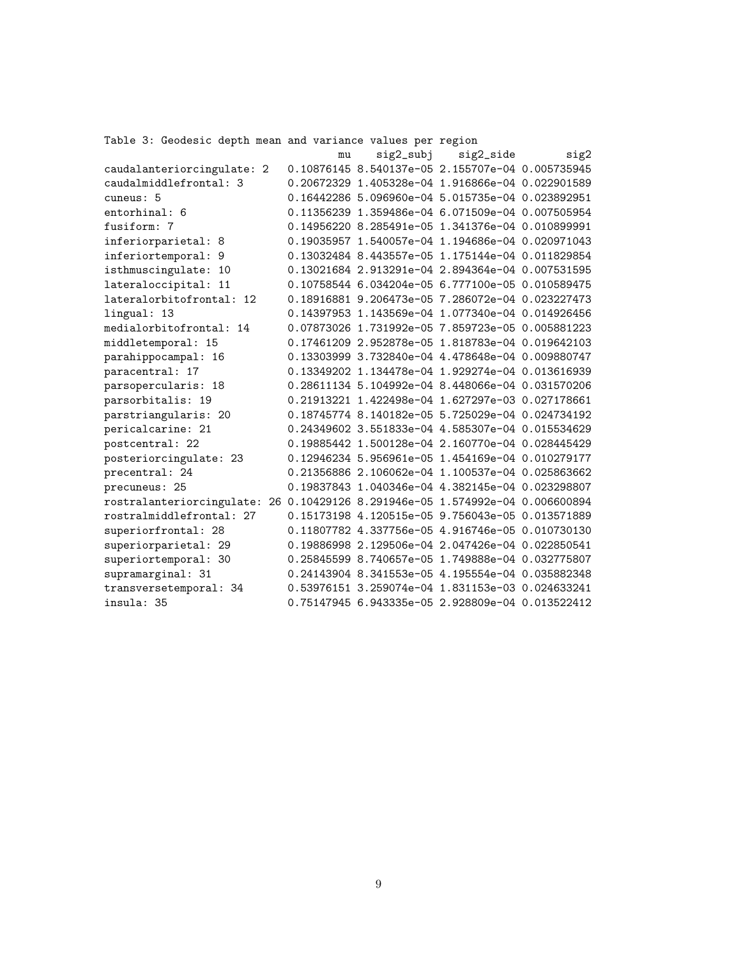Table 3: Geodesic depth mean and variance values per region

|                                                                               | mu | sig2_subj                                        | sig2_side | sig2 |
|-------------------------------------------------------------------------------|----|--------------------------------------------------|-----------|------|
| caudalanteriorcingulate: 2                                                    |    | 0.10876145 8.540137e-05 2.155707e-04 0.005735945 |           |      |
| caudalmiddlefrontal: 3                                                        |    | 0.20672329 1.405328e-04 1.916866e-04 0.022901589 |           |      |
| cuneus: 5                                                                     |    | 0.16442286 5.096960e-04 5.015735e-04 0.023892951 |           |      |
| entorhinal: 6                                                                 |    | 0.11356239 1.359486e-04 6.071509e-04 0.007505954 |           |      |
| fusiform: 7                                                                   |    | 0.14956220 8.285491e-05 1.341376e-04 0.010899991 |           |      |
| inferiorparietal: 8                                                           |    | 0.19035957 1.540057e-04 1.194686e-04 0.020971043 |           |      |
| inferiortemporal: 9                                                           |    | 0.13032484 8.443557e-05 1.175144e-04 0.011829854 |           |      |
| isthmuscingulate: 10                                                          |    | 0.13021684 2.913291e-04 2.894364e-04 0.007531595 |           |      |
| lateraloccipital: 11                                                          |    | 0.10758544 6.034204e-05 6.777100e-05 0.010589475 |           |      |
| lateralorbitofrontal: 12                                                      |    | 0.18916881 9.206473e-05 7.286072e-04 0.023227473 |           |      |
| lingual: 13                                                                   |    | 0.14397953 1.143569e-04 1.077340e-04 0.014926456 |           |      |
| medialorbitofrontal: 14                                                       |    | 0.07873026 1.731992e-05 7.859723e-05 0.005881223 |           |      |
| middletemporal: 15                                                            |    | 0.17461209 2.952878e-05 1.818783e-04 0.019642103 |           |      |
| parahippocampal: 16                                                           |    | 0.13303999 3.732840e-04 4.478648e-04 0.009880747 |           |      |
| paracentral: 17                                                               |    | 0.13349202 1.134478e-04 1.929274e-04 0.013616939 |           |      |
| parsopercularis: 18                                                           |    | 0.28611134 5.104992e-04 8.448066e-04 0.031570206 |           |      |
| parsorbitalis: 19                                                             |    | 0.21913221 1.422498e-04 1.627297e-03 0.027178661 |           |      |
| parstriangularis: 20                                                          |    | 0.18745774 8.140182e-05 5.725029e-04 0.024734192 |           |      |
| pericalcarine: 21                                                             |    | 0.24349602 3.551833e-04 4.585307e-04 0.015534629 |           |      |
| postcentral: 22                                                               |    | 0.19885442 1.500128e-04 2.160770e-04 0.028445429 |           |      |
| posteriorcingulate: 23                                                        |    | 0.12946234 5.956961e-05 1.454169e-04 0.010279177 |           |      |
| precentral: 24                                                                |    | 0.21356886 2.106062e-04 1.100537e-04 0.025863662 |           |      |
| precuneus: 25                                                                 |    | 0.19837843 1.040346e-04 4.382145e-04 0.023298807 |           |      |
| rostralanteriorcingulate: 26 0.10429126 8.291946e-05 1.574992e-04 0.006600894 |    |                                                  |           |      |
| rostralmiddlefrontal: 27                                                      |    | 0.15173198 4.120515e-05 9.756043e-05 0.013571889 |           |      |
| superiorfrontal: 28                                                           |    | 0.11807782 4.337756e-05 4.916746e-05 0.010730130 |           |      |
| superiorparietal: 29                                                          |    | 0.19886998 2.129506e-04 2.047426e-04 0.022850541 |           |      |
| superiortemporal: 30                                                          |    | 0.25845599 8.740657e-05 1.749888e-04 0.032775807 |           |      |
| supramarginal: 31                                                             |    | 0.24143904 8.341553e-05 4.195554e-04 0.035882348 |           |      |
| transversetemporal: 34                                                        |    | 0.53976151 3.259074e-04 1.831153e-03 0.024633241 |           |      |
| insula: 35                                                                    |    | 0.75147945 6.943335e-05 2.928809e-04 0.013522412 |           |      |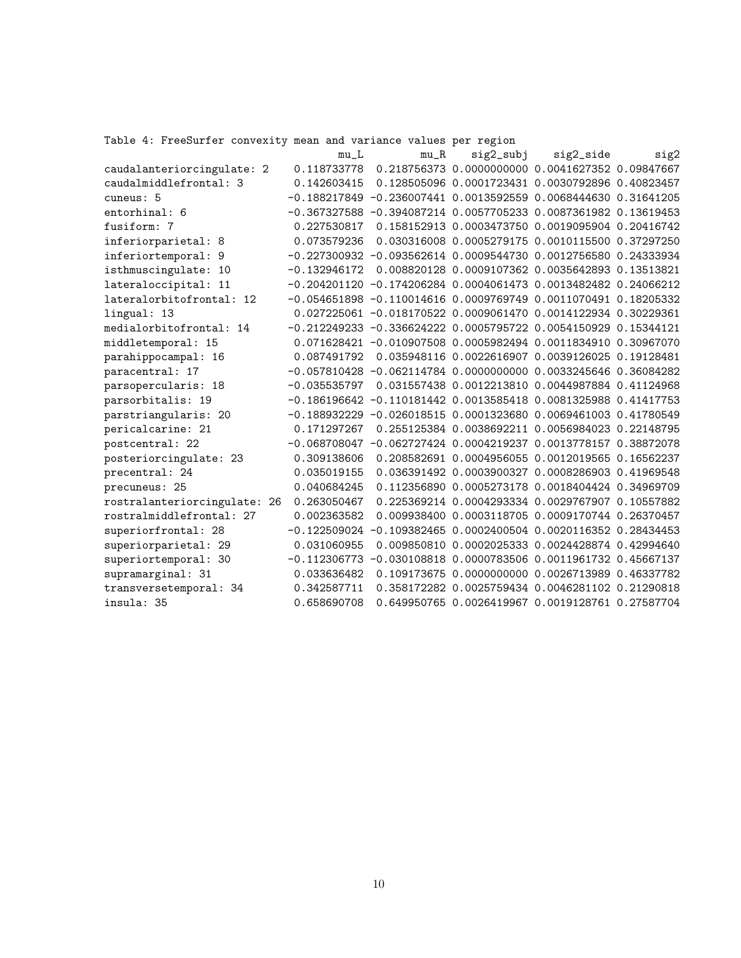Table 4: FreeSurfer convexity mean and variance values per region

|                              | $mu_L$         | $mu_R$ | sig2_subj                                                         | sig2_side | sig2 |
|------------------------------|----------------|--------|-------------------------------------------------------------------|-----------|------|
| caudalanteriorcingulate: 2   |                |        | 0.118733778  0.218756373  0.0000000000  0.0041627352  0.09847667  |           |      |
| caudalmiddlefrontal: 3       | 0.142603415    |        | 0.128505096  0.0001723431  0.0030792896  0.40823457               |           |      |
| cuneus: 5                    |                |        | $-0.188217849 -0.236007441 0.0013592559 0.0068444630 0.31641205$  |           |      |
| entorhinal: 6                |                |        | $-0.367327588 -0.394087214 0.0057705233 0.0087361982 0.13619453$  |           |      |
| fusiform: 7                  | 0.227530817    |        | 0.158152913 0.0003473750 0.0019095904 0.20416742                  |           |      |
| inferiorparietal: 8          | 0.073579236    |        | 0.030316008 0.0005279175 0.0010115500 0.37297250                  |           |      |
| inferiortemporal: 9          |                |        | $-0.227300932 -0.093562614 0.0009544730 0.0012756580 0.24333934$  |           |      |
| isthmuscingulate: 10         | $-0.132946172$ |        | 0.008820128 0.0009107362 0.0035642893 0.13513821                  |           |      |
| lateraloccipital: 11         |                |        | $-0.204201120 -0.174206284 0.0004061473 0.0013482482 0.24066212$  |           |      |
| lateralorbitofrontal: 12     |                |        | $-0.054651898 -0.110014616 0.0009769749 0.0011070491 0.18205332$  |           |      |
| lingual: 13                  |                |        | 0.027225061 -0.018170522 0.0009061470 0.0014122934 0.30229361     |           |      |
| medialorbitofrontal: 14      |                |        | $-0.212249233 -0.336624222 0.0005795722 0.0054150929 0.15344121$  |           |      |
| middletemporal: 15           |                |        | 0.071628421 -0.010907508 0.0005982494 0.0011834910 0.30967070     |           |      |
| parahippocampal: 16          | 0.087491792    |        | 0.035948116  0.0022616907  0.0039126025  0.19128481               |           |      |
| paracentral: 17              |                |        | $-0.057810428 -0.062114784 0.0000000000 0.0033245646 0.36084282$  |           |      |
| parsopercularis: 18          | $-0.035535797$ |        | 0.031557438  0.0012213810  0.0044987884  0.41124968               |           |      |
| parsorbitalis: 19            |                |        | $-0.186196642 -0.110181442 0.0013585418 0.0081325988 0.41417753$  |           |      |
| parstriangularis: 20         |                |        | $-0.188932229 -0.026018515 0.0001323680 0.0069461003 0.41780549$  |           |      |
| pericalcarine: 21            | 0.171297267    |        | 0.255125384 0.0038692211 0.0056984023 0.22148795                  |           |      |
| postcentral: 22              |                |        | $-0.068708047 -0.062727424 0.0004219237 0.0013778157 0.38872078$  |           |      |
| posteriorcingulate: 23       | 0.309138606    |        | 0.208582691 0.0004956055 0.0012019565 0.16562237                  |           |      |
| precentral: 24               | 0.035019155    |        | 0.036391492 0.0003900327 0.0008286903 0.41969548                  |           |      |
| precuneus: 25                | 0.040684245    |        | 0.112356890  0.0005273178  0.0018404424  0.34969709               |           |      |
| rostralanteriorcingulate: 26 | 0.263050467    |        | 0.225369214 0.0004293334 0.0029767907 0.10557882                  |           |      |
| rostralmiddlefrontal: 27     | 0.002363582    |        | 0.009938400  0.0003118705  0.0009170744  0.26370457               |           |      |
| superiorfrontal: 28          | $-0.122509024$ |        | $-0.1093824650.00024005040.00201163520.28434453$                  |           |      |
| superiorparietal: 29         | 0.031060955    |        | 0.009850810  0.0002025333  0.0024428874  0.42994640               |           |      |
| superiortemporal: 30         |                |        | $-0.112306773 - 0.030108818 0.0000783506 0.0011961732 0.45667137$ |           |      |
| supramarginal: 31            | 0.033636482    |        | 0.109173675 0.0000000000 0.0026713989 0.46337782                  |           |      |
| transversetemporal: 34       | 0.342587711    |        | 0.358172282 0.0025759434 0.0046281102 0.21290818                  |           |      |
| insula: 35                   | 0.658690708    |        | 0.649950765 0.0026419967 0.0019128761 0.27587704                  |           |      |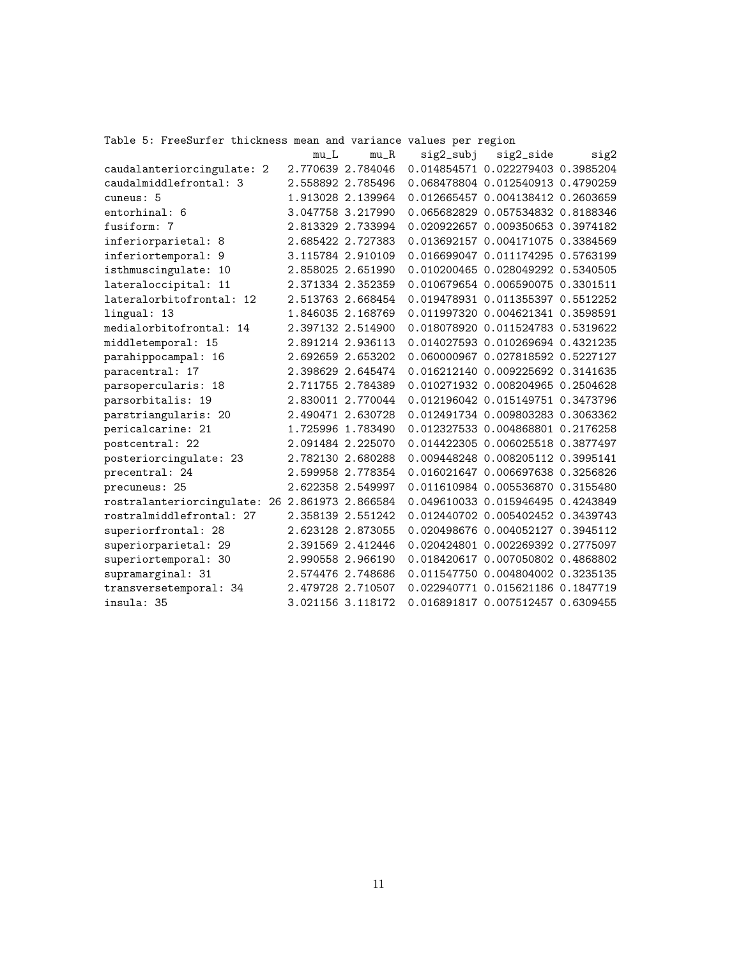Table 5: FreeSurfer thickness mean and variance values per region

|                                                | $mu_L$ | $mu_R$            | sig2_subj | sig2_side                           | sig2 |
|------------------------------------------------|--------|-------------------|-----------|-------------------------------------|------|
| caudalanteriorcingulate: 2                     |        | 2.770639 2.784046 |           | 0.014854571 0.022279403 0.3985204   |      |
| caudalmiddlefrontal: 3                         |        | 2.558892 2.785496 |           | 0.068478804 0.012540913 0.4790259   |      |
| cuneus: 5                                      |        | 1.913028 2.139964 |           | 0.012665457 0.004138412 0.2603659   |      |
| entorhinal: 6                                  |        | 3.047758 3.217990 |           | 0.065682829 0.057534832 0.8188346   |      |
| fusiform: 7                                    |        | 2.813329 2.733994 |           | 0.020922657 0.009350653 0.3974182   |      |
| inferiorparietal: 8                            |        | 2.685422 2.727383 |           | 0.013692157 0.004171075 0.3384569   |      |
| inferiortemporal: 9                            |        | 3.115784 2.910109 |           | 0.016699047 0.011174295 0.5763199   |      |
| isthmuscingulate: 10                           |        | 2.858025 2.651990 |           | 0.010200465 0.028049292 0.5340505   |      |
| lateraloccipital: 11                           |        | 2.371334 2.352359 |           | 0.010679654 0.006590075 0.3301511   |      |
| lateralorbitofrontal: 12                       |        | 2.513763 2.668454 |           | 0.019478931 0.011355397 0.5512252   |      |
| lingual: 13                                    |        | 1.846035 2.168769 |           | 0.011997320 0.004621341 0.3598591   |      |
| medialorbitofrontal: 14                        |        | 2.397132 2.514900 |           | 0.018078920 0.011524783 0.5319622   |      |
| middletemporal: 15                             |        | 2.891214 2.936113 |           | 0.014027593 0.010269694 0.4321235   |      |
| parahippocampal: 16                            |        | 2.692659 2.653202 |           | 0.060000967 0.027818592 0.5227127   |      |
| paracentral: 17                                |        | 2.398629 2.645474 |           | 0.016212140 0.009225692 0.3141635   |      |
| parsopercularis: 18                            |        | 2.711755 2.784389 |           | 0.010271932 0.008204965 0.2504628   |      |
| parsorbitalis: 19                              |        | 2.830011 2.770044 |           | 0.012196042 0.015149751 0.3473796   |      |
| parstriangularis: 20                           |        | 2.490471 2.630728 |           | 0.012491734 0.009803283 0.3063362   |      |
| pericalcarine: 21                              |        | 1.725996 1.783490 |           | 0.012327533 0.004868801 0.2176258   |      |
| postcentral: 22                                |        | 2.091484 2.225070 |           | 0.014422305 0.006025518 0.3877497   |      |
| posteriorcingulate: 23                         |        | 2.782130 2.680288 |           | 0.009448248 0.008205112 0.3995141   |      |
| precentral: 24                                 |        | 2.599958 2.778354 |           | 0.016021647 0.006697638 0.3256826   |      |
| precuneus: 25                                  |        | 2.622358 2.549997 |           | 0.011610984 0.005536870 0.3155480   |      |
| rostralanteriorcingulate: 26 2.861973 2.866584 |        |                   |           | 0.049610033 0.015946495 0.4243849   |      |
| rostralmiddlefrontal: 27                       |        | 2.358139 2.551242 |           | 0.012440702 0.005402452 0.3439743   |      |
| superiorfrontal: 28                            |        | 2.623128 2.873055 |           | 0.020498676 0.004052127 0.3945112   |      |
| superiorparietal: 29                           |        | 2.391569 2.412446 |           | 0.020424801 0.002269392 0.2775097   |      |
| superiortemporal: 30                           |        | 2.990558 2.966190 |           | 0.018420617 0.007050802 0.4868802   |      |
| supramarginal: 31                              |        | 2.574476 2.748686 |           | 0.011547750 0.004804002 0.3235135   |      |
| transversetemporal: 34                         |        | 2.479728 2.710507 |           | 0.022940771 0.015621186 0.1847719   |      |
| insula: 35                                     |        | 3.021156 3.118172 |           | 0.016891817  0.007512457  0.6309455 |      |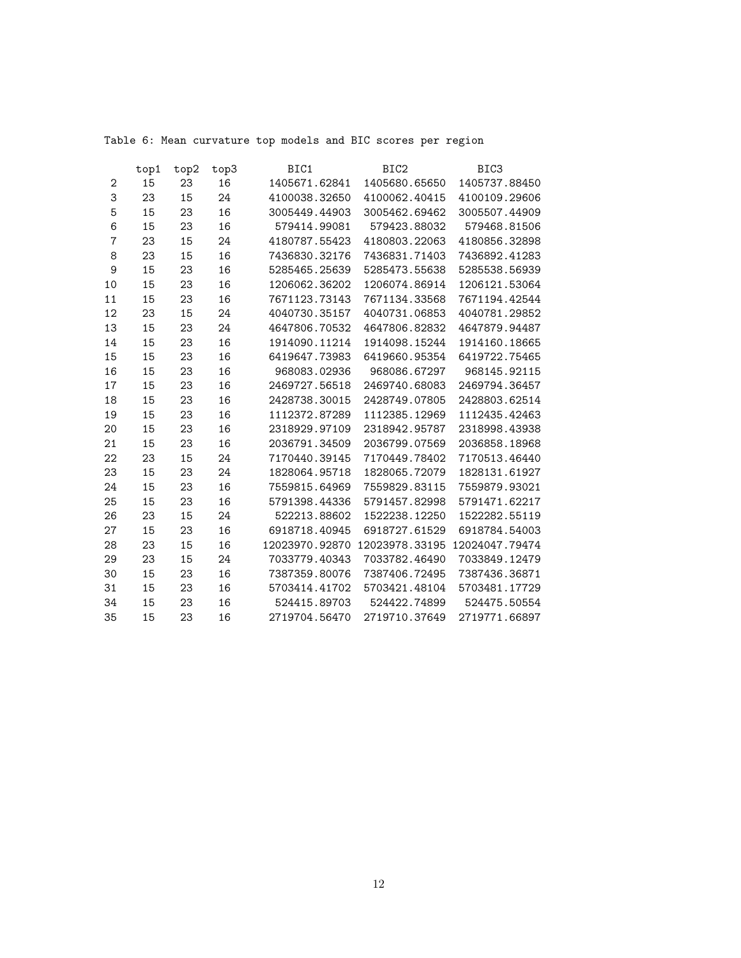Table 6: Mean curvature top models and BIC scores per region

|                | top1 | top2 | top3 | BIC1           | BIC <sub>2</sub> | BIC <sub>3</sub> |
|----------------|------|------|------|----------------|------------------|------------------|
| 2              | 15   | 23   | 16   | 1405671.62841  | 1405680.65650    | 1405737.88450    |
| 3              | 23   | 15   | 24   | 4100038.32650  | 4100062.40415    | 4100109.29606    |
| 5              | 15   | 23   | 16   | 3005449.44903  | 3005462.69462    | 3005507.44909    |
| 6              | 15   | 23   | 16   | 579414.99081   | 579423.88032     | 579468.81506     |
| $\overline{7}$ | 23   | 15   | 24   | 4180787.55423  | 4180803.22063    | 4180856.32898    |
| 8              | 23   | 15   | 16   | 7436830.32176  | 7436831.71403    | 7436892.41283    |
| 9              | 15   | 23   | 16   | 5285465.25639  | 5285473.55638    | 5285538.56939    |
| 10             | 15   | 23   | 16   | 1206062.36202  | 1206074.86914    | 1206121.53064    |
| 11             | 15   | 23   | 16   | 7671123.73143  | 7671134.33568    | 7671194.42544    |
| 12             | 23   | 15   | 24   | 4040730.35157  | 4040731.06853    | 4040781.29852    |
| 13             | 15   | 23   | 24   | 4647806.70532  | 4647806.82832    | 4647879.94487    |
| 14             | 15   | 23   | 16   | 1914090.11214  | 1914098.15244    | 1914160.18665    |
| 15             | 15   | 23   | 16   | 6419647.73983  | 6419660.95354    | 6419722.75465    |
| 16             | 15   | 23   | 16   | 968083.02936   | 968086.67297     | 968145.92115     |
| 17             | 15   | 23   | 16   | 2469727.56518  | 2469740.68083    | 2469794.36457    |
| 18             | 15   | 23   | 16   | 2428738.30015  | 2428749.07805    | 2428803.62514    |
| 19             | 15   | 23   | 16   | 1112372.87289  | 1112385.12969    | 1112435.42463    |
| 20             | 15   | 23   | 16   | 2318929.97109  | 2318942.95787    | 2318998.43938    |
| 21             | 15   | 23   | 16   | 2036791.34509  | 2036799.07569    | 2036858.18968    |
| 22             | 23   | 15   | 24   | 7170440.39145  | 7170449.78402    | 7170513.46440    |
| 23             | 15   | 23   | 24   | 1828064.95718  | 1828065.72079    | 1828131.61927    |
| 24             | 15   | 23   | 16   | 7559815.64969  | 7559829.83115    | 7559879.93021    |
| 25             | 15   | 23   | 16   | 5791398.44336  | 5791457.82998    | 5791471.62217    |
| 26             | 23   | 15   | 24   | 522213.88602   | 1522238.12250    | 1522282.55119    |
| 27             | 15   | 23   | 16   | 6918718.40945  | 6918727.61529    | 6918784.54003    |
| 28             | 23   | 15   | 16   | 12023970.92870 | 12023978.33195   | 12024047.79474   |
| 29             | 23   | 15   | 24   | 7033779.40343  | 7033782.46490    | 7033849.12479    |
| 30             | 15   | 23   | 16   | 7387359.80076  | 7387406.72495    | 7387436.36871    |
| 31             | 15   | 23   | 16   | 5703414.41702  | 5703421.48104    | 5703481.17729    |
| 34             | 15   | 23   | 16   | 524415.89703   | 524422.74899     | 524475.50554     |
| 35             | 15   | 23   | 16   | 2719704.56470  | 2719710.37649    | 2719771.66897    |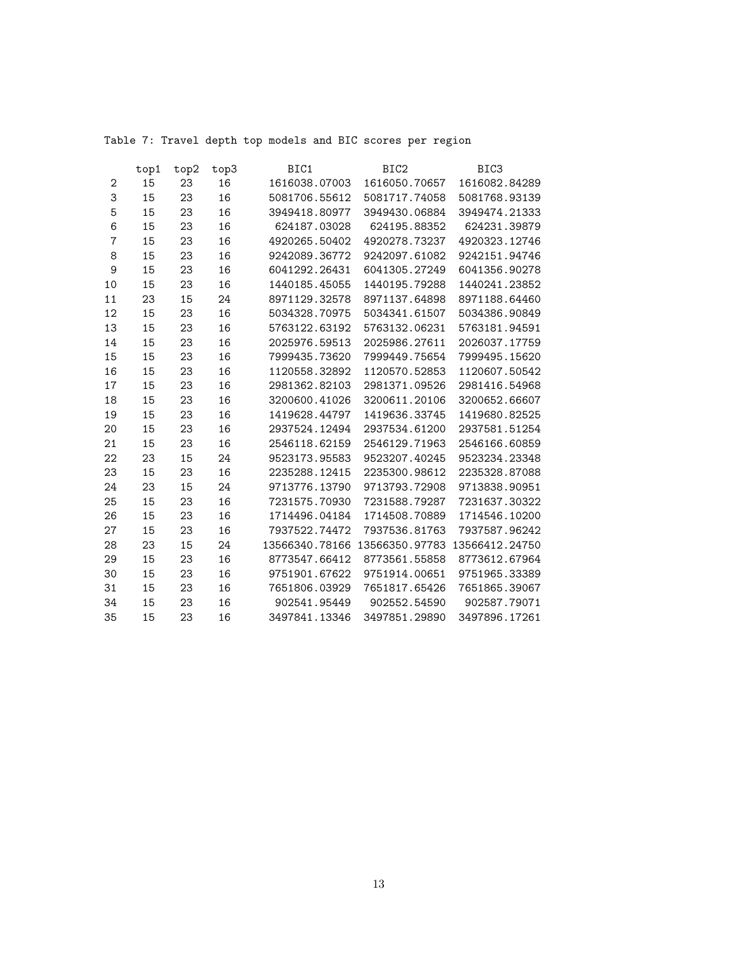Table 7: Travel depth top models and BIC scores per region

|                | top1 | top2 | top3 | BIC1           | BIC <sub>2</sub> | BIC <sub>3</sub> |
|----------------|------|------|------|----------------|------------------|------------------|
| 2              | 15   | 23   | 16   | 1616038.07003  | 1616050.70657    | 1616082.84289    |
| 3              | 15   | 23   | 16   | 5081706.55612  | 5081717.74058    | 5081768.93139    |
| 5              | 15   | 23   | 16   | 3949418.80977  | 3949430.06884    | 3949474.21333    |
| 6              | 15   | 23   | 16   | 624187.03028   | 624195.88352     | 624231.39879     |
| $\overline{7}$ | 15   | 23   | 16   | 4920265.50402  | 4920278.73237    | 4920323.12746    |
| 8              | 15   | 23   | 16   | 9242089.36772  | 9242097.61082    | 9242151.94746    |
| 9              | 15   | 23   | 16   | 6041292.26431  | 6041305.27249    | 6041356.90278    |
| 10             | 15   | 23   | 16   | 1440185.45055  | 1440195.79288    | 1440241.23852    |
| 11             | 23   | 15   | 24   | 8971129.32578  | 8971137.64898    | 8971188.64460    |
| 12             | 15   | 23   | 16   | 5034328.70975  | 5034341.61507    | 5034386.90849    |
| 13             | 15   | 23   | 16   | 5763122.63192  | 5763132.06231    | 5763181.94591    |
| 14             | 15   | 23   | 16   | 2025976.59513  | 2025986.27611    | 2026037.17759    |
| 15             | 15   | 23   | 16   | 7999435.73620  | 7999449.75654    | 7999495.15620    |
| 16             | 15   | 23   | 16   | 1120558.32892  | 1120570.52853    | 1120607.50542    |
| 17             | 15   | 23   | 16   | 2981362.82103  | 2981371.09526    | 2981416.54968    |
| 18             | 15   | 23   | 16   | 3200600.41026  | 3200611.20106    | 3200652.66607    |
| 19             | 15   | 23   | 16   | 1419628.44797  | 1419636.33745    | 1419680.82525    |
| 20             | 15   | 23   | 16   | 2937524.12494  | 2937534.61200    | 2937581.51254    |
| 21             | 15   | 23   | 16   | 2546118.62159  | 2546129.71963    | 2546166.60859    |
| 22             | 23   | 15   | 24   | 9523173.95583  | 9523207.40245    | 9523234.23348    |
| 23             | 15   | 23   | 16   | 2235288.12415  | 2235300.98612    | 2235328.87088    |
| 24             | 23   | 15   | 24   | 9713776.13790  | 9713793.72908    | 9713838.90951    |
| 25             | 15   | 23   | 16   | 7231575.70930  | 7231588.79287    | 7231637.30322    |
| 26             | 15   | 23   | 16   | 1714496.04184  | 1714508.70889    | 1714546.10200    |
| 27             | 15   | 23   | 16   | 7937522.74472  | 7937536.81763    | 7937587.96242    |
| 28             | 23   | 15   | 24   | 13566340.78166 | 13566350.97783   | 13566412.24750   |
| 29             | 15   | 23   | 16   | 8773547.66412  | 8773561.55858    | 8773612.67964    |
| 30             | 15   | 23   | 16   | 9751901.67622  | 9751914.00651    | 9751965.33389    |
| 31             | 15   | 23   | 16   | 7651806.03929  | 7651817.65426    | 7651865.39067    |
| 34             | 15   | 23   | 16   | 902541.95449   | 902552.54590     | 902587.79071     |
| 35             | 15   | 23   | 16   | 3497841.13346  | 3497851.29890    | 3497896.17261    |
|                |      |      |      |                |                  |                  |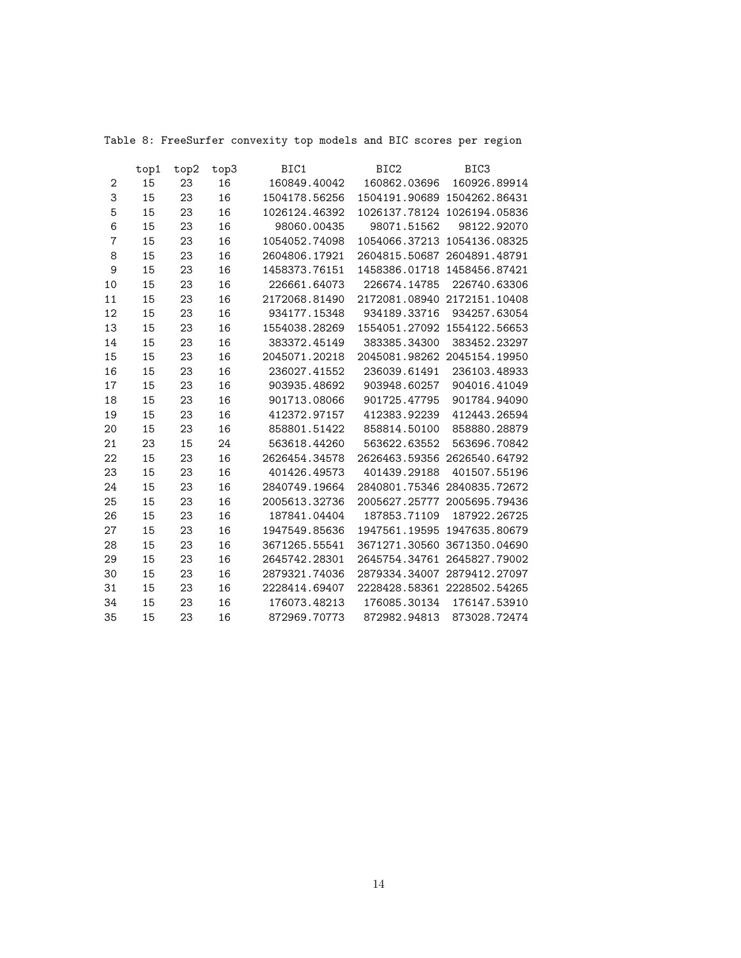Table 8: FreeSurfer convexity top models and BIC scores per region

|                | top1 | top2 | top3 | BIC1          | BIC <sub>2</sub>            | BIC <sub>3</sub> |
|----------------|------|------|------|---------------|-----------------------------|------------------|
| $\mathbf{2}$   | 15   | 23   | 16   | 160849.40042  | 160862.03696                | 160926.89914     |
| 3              | 15   | 23   | 16   | 1504178.56256 | 1504191.90689 1504262.86431 |                  |
| 5              | 15   | 23   | 16   | 1026124.46392 | 1026137.78124 1026194.05836 |                  |
| 6              | 15   | 23   | 16   | 98060.00435   | 98071.51562                 | 98122.92070      |
| $\overline{7}$ | 15   | 23   | 16   | 1054052.74098 | 1054066.37213 1054136.08325 |                  |
| 8              | 15   | 23   | 16   | 2604806.17921 | 2604815.50687 2604891.48791 |                  |
| 9              | 15   | 23   | 16   | 1458373.76151 | 1458386.01718 1458456.87421 |                  |
| 10             | 15   | 23   | 16   | 226661.64073  | 226674.14785                | 226740.63306     |
| 11             | 15   | 23   | 16   | 2172068.81490 | 2172081.08940 2172151.10408 |                  |
| 12             | 15   | 23   | 16   | 934177.15348  | 934189.33716                | 934257.63054     |
| 13             | 15   | 23   | 16   | 1554038.28269 | 1554051.27092 1554122.56653 |                  |
| 14             | 15   | 23   | 16   | 383372.45149  | 383385.34300                | 383452.23297     |
| 15             | 15   | 23   | 16   | 2045071.20218 | 2045081.98262 2045154.19950 |                  |
| 16             | 15   | 23   | 16   | 236027.41552  | 236039.61491                | 236103.48933     |
| 17             | 15   | 23   | 16   | 903935.48692  | 903948.60257                | 904016.41049     |
| 18             | 15   | 23   | 16   | 901713.08066  | 901725.47795                | 901784.94090     |
| 19             | 15   | 23   | 16   | 412372.97157  | 412383.92239                | 412443.26594     |
| 20             | 15   | 23   | 16   | 858801.51422  | 858814.50100                | 858880.28879     |
| 21             | 23   | 15   | 24   | 563618.44260  | 563622.63552                | 563696.70842     |
| 22             | 15   | 23   | 16   | 2626454.34578 | 2626463.59356 2626540.64792 |                  |
| 23             | 15   | 23   | 16   | 401426.49573  | 401439.29188                | 401507.55196     |
| 24             | 15   | 23   | 16   | 2840749.19664 | 2840801.75346 2840835.72672 |                  |
| 25             | 15   | 23   | 16   | 2005613.32736 | 2005627.25777 2005695.79436 |                  |
| 26             | 15   | 23   | 16   | 187841.04404  | 187853.71109                | 187922.26725     |
| 27             | 15   | 23   | 16   | 1947549.85636 | 1947561.19595 1947635.80679 |                  |
| 28             | 15   | 23   | 16   | 3671265.55541 | 3671271.30560 3671350.04690 |                  |
| 29             | 15   | 23   | 16   | 2645742.28301 | 2645754.34761 2645827.79002 |                  |
| 30             | 15   | 23   | 16   | 2879321.74036 | 2879334.34007 2879412.27097 |                  |
| 31             | 15   | 23   | 16   | 2228414.69407 | 2228428.58361 2228502.54265 |                  |
| 34             | 15   | 23   | 16   | 176073.48213  | 176085.30134                | 176147.53910     |
| 35             | 15   | 23   | 16   | 872969.70773  | 872982.94813                | 873028.72474     |